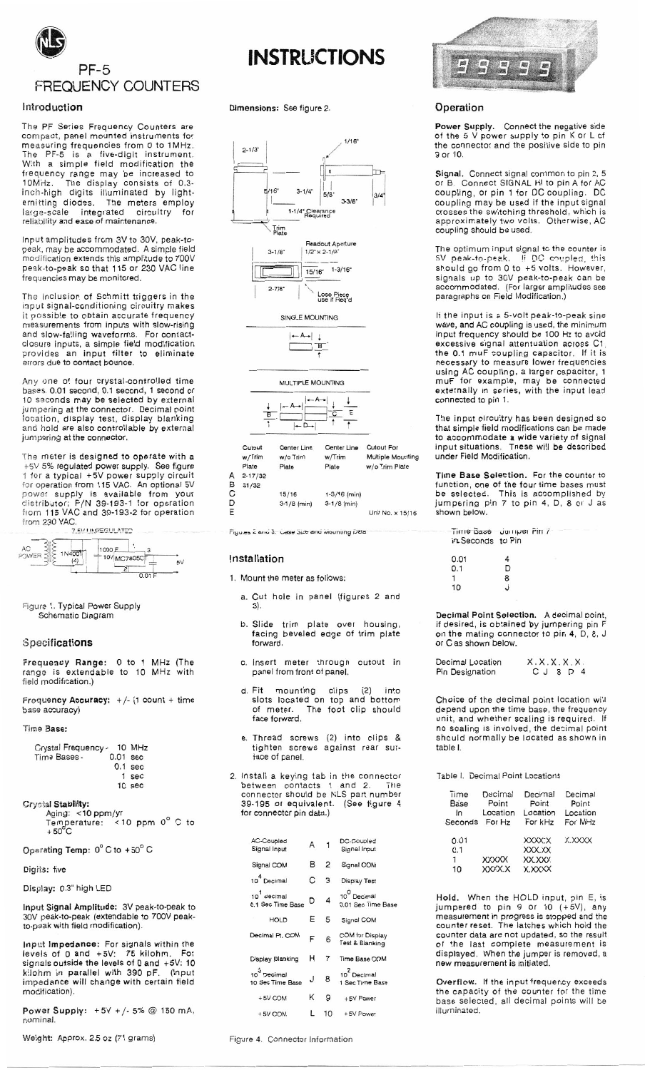

## Introduction

The PF Series Frequency Counters are compact, panel mounted instruments for measuring frequencies from 0 to 1MHz.<br>The PF-5 is a five-digit instrument.<br>With a simple field modification the<br>frequency range may be increased to<br>10MHz. The display consists of 0.3-<br>inch-binh digits illuminated by link inch-high digits illuminated by lightemitting diodes. The meters employ<br>large-scale integrated circuitry for reliability and ease of maintenance.

Input amplitudes from 3V to 30V, peak-topeak, may be accommodated. A simple field<br>modification extends this amplitude to 700V peak-to-peak so that 115 or 230 VAC line frequencies may be monitored.

The inclusion of Schmitt triggers in the input signal-conditioning circuitry makes<br>it possible to obtain accurate frequency measurements from inputs with slow-rising and slow-falling waveforms. For contact-<br>closure inputs, a simple field modification<br>provides an input filter to eliminate errors due to contact bounce.

Any one of four crystal-controlled time<br>bases, 0.01 second, 0.1 second, 1 second or 10 seconds may be selected by external jumpering at the connector. Decimal point<br>location, display test, display blanking and hold are also controllable by external jumpering at the connector.

The meter is designed to operate with a Figure is using the serge of the serge of the serge of the serge of the serge of the serge of the serge of the serge of the power supply circuit for operation from 115 VAC. An optional 5V power supply is available from you from 230 VAC.

| AC<br>POWER | 1N4001<br>14 | 1000 E<br>$= 10V$ <sub>MC7805C<math>\overline{T}</math></sub> |  |
|-------------|--------------|---------------------------------------------------------------|--|
|             |              |                                                               |  |

Figure 1. Typical Power Supply Schematic Diagram

## Specifications

Frequency Range: 0 to 1 MHz (The range is extendable to 10 MHz with field modification.)

Frequency Accuracy:  $+/-$  (1 count + time base accuracy)

#### Time Base:

| Crystal Frequency - 10 MHz |            |           |
|----------------------------|------------|-----------|
| Time Bases -               | $0.01$ sec |           |
|                            |            | $0.1$ sec |
|                            |            | 1 sec     |
|                            |            | 10 sec    |

Crystal Stability: Aging: <10 ppm/yr<br>Temperature: <10 ppm 0° C to<br>+50°C

Operating Temp: 0°C to +50°C

#### Digits: five

Display: 0.3" high LED

Input Signal Amplitude: 3V peak-to-peak to 30V peak-to-peak (extendable to 700V peakto-peak with field modification).

Input Impedance: For signals within the<br>levels of 0 and +5V: 75 kilohm. For signals outside the levels of 0 and +5V: 10 kilohm in parallel with 390 pF. (Input<br>impedance will change with certain field modification).

Power Supply: +5V +/-5% @ 150 mA, nominal.

Weight: Approx. 2.5 oz (71 grams)

# **INSTRUCTIONS**

Dimensions: See figure 2.



Figures 2 and 3. Case Size and Mot

#### Installation

1. Mount the meter as follows:

- a. Cut hole in panel (figures 2 and  $3).$
- b. Slide trim plate over housing, facing beveled edge of trim plate forward.
- c. Insert meter through cutout in panel from front of panel.
- Fit mounting clips (2) into<br>slots located on top and bottom<br>of meter. The foot clip should d. Fit face forward.
- e. Thread screws (2) into clips & tighten screws against rear surface of panel.
- 2. Install a keying tab in the connector<br>between contacts 1 and 2. The<br>connector should be NLS part number<br>39-195 or equivalent. (See figure 4 for connector pin data.)

| <b>AC-Coupled</b><br>Signal Input            | A |                | DC-Coupled<br>Signal Input                           |
|----------------------------------------------|---|----------------|------------------------------------------------------|
| Signal COM                                   | в | $\overline{2}$ | Signal COM                                           |
| 10 <sup>4</sup> Decimal                      | С | 3              | <b>Display Test</b>                                  |
| 10 <sup>1</sup> decimal<br>0.1 Sec Time Base | D | 4              | 10 <sup>0</sup> Decimal<br>0.01 Sec Time Base        |
| <b>HOLD</b>                                  | Е | 5              | Signal COM                                           |
| Decimal Pt. COM                              | F | 6              | <b>COM</b> for Display<br><b>Test &amp; Blanking</b> |
| <b>Display Blanking</b>                      | н | $\overline{7}$ | <b>Time Base COM</b>                                 |
| $10^3$ Decimal<br>10 Sec Time Base           | J | 8              | 10 <sup>2</sup> Decimal<br>1 Sec Time Base           |
| $+5V$ COM                                    | κ | 9              | $+5V$ Power                                          |
| +5V COM                                      |   | 10             | +5V Power                                            |



## Operation

Power Supply. Connect the negative side<br>of the 5 V power supply to pin K or L of<br>the connector and the positive side to pin 9 or 10.

Signal. Connect signal common to pin 2, 5 Signal. Connect signal common to pin 2, 3<br>or B. Connect SIGNAL HI to pin A for AC<br>coupling, or pin 1 for DC coupling. DC<br>coupling may be used if the input signal<br>crosses the switching threshold, which is approximately two volts. Otherwise, AC<br>coupling should be used.

The optimum input signal to the counter is<br>5V peak-to-peak. If DC coupled, this<br>should go from 0 to +5 volts. However,<br>signals up to 30V peak-to-peak can be<br>accommodated. (For larger amplitudes see<br>paragraphs on Field Modi

If the input is a 5-volt peak-to-peak sine wave, and AC coupling is used, the minimum<br>input frequency should be 100 Hz to avoid excessive signal attentuation across C1, the 0.1 muF coupling capacitor. If it is<br>necessary to measure lower frequencies is using AC coupling, a larger capacitor, 1<br>muF for example, may be connected<br>externally in series, with the input lead connected to pin 1.

The input circuitry has been designed so that simple field modifications can be made<br>to accommodate a wide variety of signal input situations. These will be described under Field Modification.

Time Base Selection. For the counter to function, one of the four time bases must<br>be selected. This is accomplished by jumpering pin 7 to pin 4, D, 8 or J as shown below.

| Time Base Jumper Pin /<br>in Seconds to Pin |         |  |
|---------------------------------------------|---------|--|
| 0.01                                        |         |  |
| 0.1                                         | D       |  |
|                                             | 8       |  |
| 10                                          | $\cdot$ |  |
|                                             |         |  |

Decimal Point Selection. A decimal point, if desired, is obtained by jumpering pin F<br>on the mating connector to pin 4, D, 8, J or C as shown below.

| Decimal Location | X.X.X.X.X.          |
|------------------|---------------------|
| Pin Designation  | $C$ $J$ $B$ $D$ $4$ |

Choice of the decimal point location will depend upon the time base, the frequency<br>unit, and whether scaling is required. If no scaling is involved, the decimal point should normally be located as shown in table I.

## Table I. Decimal Point Locations

| Time<br>Base<br>In<br>Seconds | Decimal<br>Point<br>Location<br>For Hz | Decimal<br>Point<br>Location<br>For kHz | Decimal<br>Point<br>Location<br>For MHz |
|-------------------------------|----------------------------------------|-----------------------------------------|-----------------------------------------|
| 0.01<br>0.1<br>1              | <b>XXXXX</b>                           | <b>XXXXXX</b><br>XXX.XX<br>XX.XXX       | <b>X.XXXX</b>                           |
| 10                            | XXXX.X                                 | <b>X.XXXX</b>                           |                                         |

Hold. When the HOLD input, pin E, is Figure 1 and 1 and 1 and 1 and 1 and 1 and 1 and 1 and 1 and 1 and 1 and 1 and 1 and 1 and 1 and 1 and 1 and 1 and 1 and 1 and 1 and 1 and 1 and 1 and 1 and 1 and 1 and 1 and 1 and 1 and 1 and 1 and 1 and 1 and 1 and 1 an counter data are not updated, so the result of the last complete measurement is displayed. When the jumper is removed, a new measurement is initiated.

Overflow. If the input frequency exceeds the capacity of the counter for the time<br>base selected, all decimal points will be illuminated.